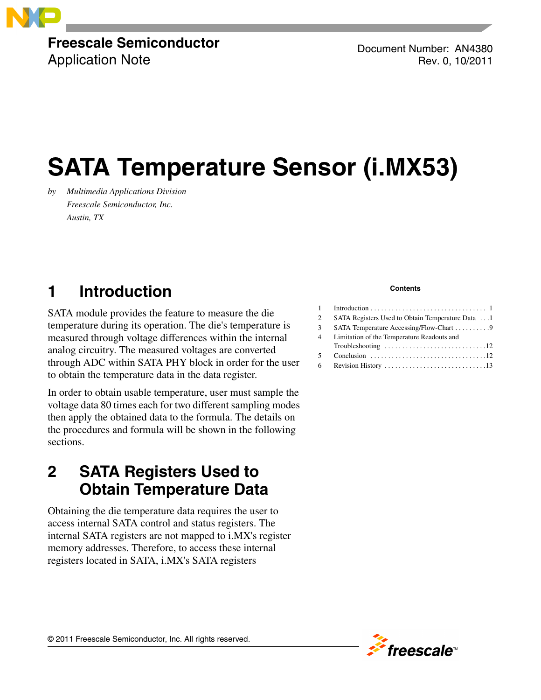

## **Freescale Semiconductor**

Application Note

Document Number: AN4380 Rev. 0, 10/2011

# **SATA Temperature Sensor (i.MX53)**

*by Multimedia Applications Division Freescale Semiconductor, Inc. Austin, TX*

## <span id="page-0-0"></span>**1 Introduction**

SATA module provides the feature to measure the die temperature during its operation. The die's temperature is measured through voltage differences within the internal analog circuitry. The measured voltages are converted through ADC within SATA PHY block in order for the user to obtain the temperature data in the data register.

In order to obtain usable temperature, user must sample the voltage data 80 times each for two different sampling modes then apply the obtained data to the formula. The details on the procedures and formula will be shown in the following sections.

## <span id="page-0-1"></span>**2 SATA Registers Used to Obtain Temperature Data**

Obtaining the die temperature data requires the user to access internal SATA control and status registers. The internal SATA registers are not mapped to i.MX's register memory addresses. Therefore, to access these internal registers located in SATA, i.MX's SATA registers

#### **Contents**

| 2  | SATA Registers Used to Obtain Temperature Data 1                                    |
|----|-------------------------------------------------------------------------------------|
| 3  |                                                                                     |
| 4  | Limitation of the Temperature Readouts and                                          |
|    | Troubleshooting $\ldots \ldots \ldots \ldots \ldots \ldots \ldots \ldots \ldots 12$ |
| 5. |                                                                                     |
|    |                                                                                     |

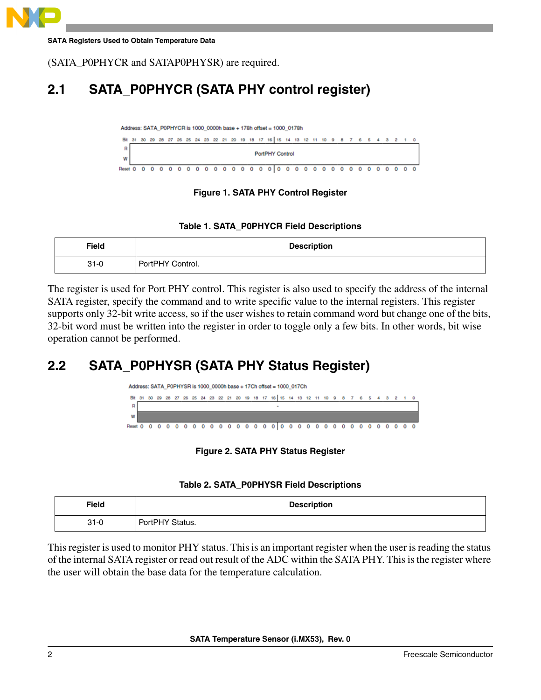

(SATA\_P0PHYCR and SATAP0PHYSR) are required.

### **2.1 SATA\_P0PHYCR (SATA PHY control register)**



#### **Figure 1. SATA PHY Control Register**

#### **Table 1. SATA\_P0PHYCR Field Descriptions**

| <b>Field</b> | <b>Description</b> |
|--------------|--------------------|
| $31 - 0$     | PortPHY Control.   |

The register is used for Port PHY control. This register is also used to specify the address of the internal SATA register, specify the command and to write specific value to the internal registers. This register supports only 32-bit write access, so if the user wishes to retain command word but change one of the bits, 32-bit word must be written into the register in order to toggle only a few bits. In other words, bit wise operation cannot be performed.

### **2.2 SATA\_P0PHYSR (SATA PHY Status Register)**



**Figure 2. SATA PHY Status Register**

| Table 2. SATA_P0PHYSR Field Descriptions |  |  |  |
|------------------------------------------|--|--|--|
|------------------------------------------|--|--|--|

| <b>Field</b> | <b>Description</b> |
|--------------|--------------------|
| $31 - 0$     | PortPHY Status.    |

This register is used to monitor PHY status. This is an important register when the user is reading the status of the internal SATA register or read out result of the ADC within the SATA PHY. This is the register where the user will obtain the base data for the temperature calculation.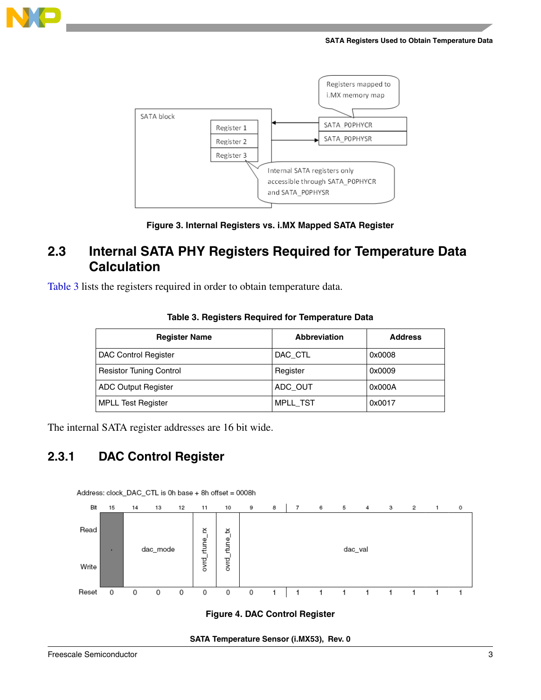





### **2.3 Internal SATA PHY Registers Required for Temperature Data Calculation**

<span id="page-2-0"></span>[Table 3](#page-2-0) lists the registers required in order to obtain temperature data.

| <b>Register Name</b>           | Abbreviation    | <b>Address</b> |
|--------------------------------|-----------------|----------------|
| <b>DAC Control Register</b>    | DAC CTL         | 0x0008         |
| <b>Resistor Tuning Control</b> | Register        | 0x0009         |
| <b>ADC Output Register</b>     | ADC OUT         | 0x000A         |
| <b>MPLL Test Register</b>      | <b>MPLL TST</b> | 0x0017         |

#### **Table 3. Registers Required for Temperature Data**

The internal SATA register addresses are 16 bit wide.

### **2.3.1 DAC Control Register**



**Figure 4. DAC Control Register**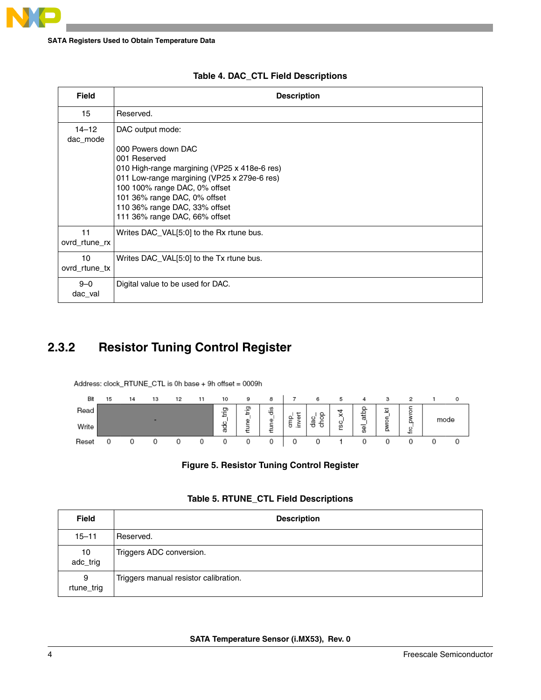| <b>Field</b>          | <b>Description</b>                                                                                                                                                                                                                                                                        |
|-----------------------|-------------------------------------------------------------------------------------------------------------------------------------------------------------------------------------------------------------------------------------------------------------------------------------------|
| 15                    | Reserved.                                                                                                                                                                                                                                                                                 |
| $14 - 12$<br>dac_mode | DAC output mode:<br>000 Powers down DAC<br>001 Reserved<br>010 High-range margining (VP25 x 418e-6 res)<br>011 Low-range margining (VP25 x 279e-6 res)<br>100 100% range DAC, 0% offset<br>101 36% range DAC, 0% offset<br>110 36% range DAC, 33% offset<br>111 36% range DAC, 66% offset |
| 11<br>ovrd_rtune_rx   | Writes DAC_VAL[5:0] to the Rx rtune bus.                                                                                                                                                                                                                                                  |
| 10<br>ovrd_rtune_tx   | Writes DAC_VAL[5:0] to the Tx rtune bus.                                                                                                                                                                                                                                                  |
| $9 - 0$<br>dac_val    | Digital value to be used for DAC.                                                                                                                                                                                                                                                         |

#### **Table 4. DAC\_CTL Field Descriptions**

### **2.3.2 Resistor Tuning Control Register**

Address: clock\_RTUNE\_CTL is 0h base + 9h offset = 0009h



**Figure 5. Resistor Tuning Control Register**

| Table 5. RTUNE_CTL Field Descriptions |  |  |
|---------------------------------------|--|--|
|                                       |  |  |

| <b>Field</b>    | <b>Description</b>                    |
|-----------------|---------------------------------------|
| $15 - 11$       | Reserved.                             |
| 10<br>adc_trig  | Triggers ADC conversion.              |
| 9<br>rtune_trig | Triggers manual resistor calibration. |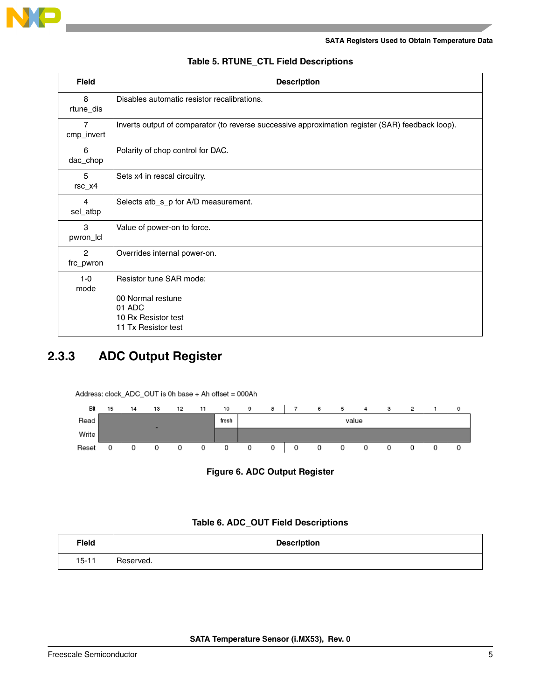

| <b>Field</b>                 | <b>Description</b>                                                                                   |
|------------------------------|------------------------------------------------------------------------------------------------------|
| 8<br>rtune_dis               | Disables automatic resistor recalibrations.                                                          |
| $\overline{7}$<br>cmp_invert | Inverts output of comparator (to reverse successive approximation register (SAR) feedback loop).     |
| 6<br>dac_chop                | Polarity of chop control for DAC.                                                                    |
| 5<br>$rsc_x4$                | Sets x4 in rescal circuitry.                                                                         |
| 4<br>sel_atbp                | Selects atb_s_p for A/D measurement.                                                                 |
| 3<br>pwron_lcl               | Value of power-on to force.                                                                          |
| $\overline{2}$<br>frc_pwron  | Overrides internal power-on.                                                                         |
| $1-0$<br>mode                | Resistor tune SAR mode:<br>00 Normal restune<br>01 ADC<br>10 Rx Resistor test<br>11 Tx Resistor test |

#### **Table 5. RTUNE\_CTL Field Descriptions**

### **2.3.3 ADC Output Register**

Address: clock\_ADC\_OUT is 0h base + Ah offset = 000Ah





#### **Table 6. ADC\_OUT Field Descriptions**

| <b>Field</b> | <b>Description</b> |
|--------------|--------------------|
| $15 - 11$    | Reserved.          |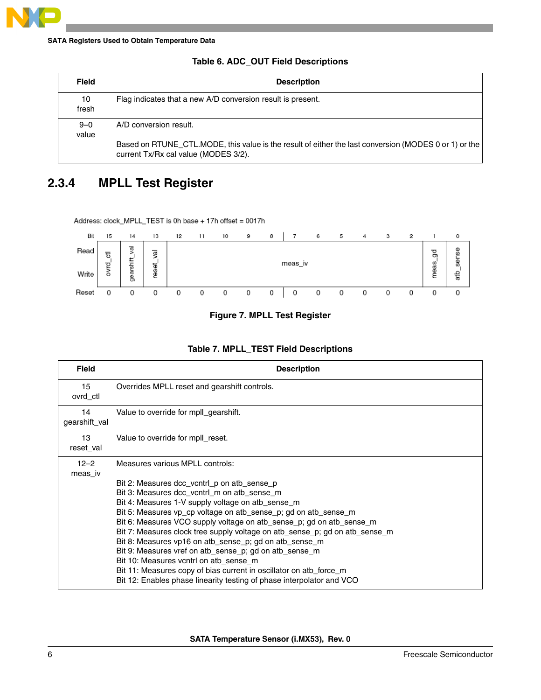| <b>Field</b>     | <b>Description</b>                                                                                                                            |
|------------------|-----------------------------------------------------------------------------------------------------------------------------------------------|
| 10<br>fresh      | Flag indicates that a new A/D conversion result is present.                                                                                   |
| $9 - 0$<br>value | A/D conversion result.                                                                                                                        |
|                  | Based on RTUNE CTL.MODE, this value is the result of either the last conversion (MODES 0 or 1) or the<br>current Tx/Rx cal value (MODES 3/2). |

#### **Table 6. ADC\_OUT Field Descriptions**

### **2.3.4 MPLL Test Register**

Address: clock\_MPLL\_TEST is 0h base + 17h offset = 0017h



#### **Figure 7. MPLL Test Register**

| <b>Field</b>        | <b>Description</b>                                                                                                                                                                                                                                                                                                                                                                                                                                                                                                                                                                                                                                                                                                        |  |  |
|---------------------|---------------------------------------------------------------------------------------------------------------------------------------------------------------------------------------------------------------------------------------------------------------------------------------------------------------------------------------------------------------------------------------------------------------------------------------------------------------------------------------------------------------------------------------------------------------------------------------------------------------------------------------------------------------------------------------------------------------------------|--|--|
| 15<br>ovrd_ctl      | Overrides MPLL reset and gearshift controls.                                                                                                                                                                                                                                                                                                                                                                                                                                                                                                                                                                                                                                                                              |  |  |
| 14<br>gearshift_val | Value to override for mpll_gearshift.                                                                                                                                                                                                                                                                                                                                                                                                                                                                                                                                                                                                                                                                                     |  |  |
| 13<br>reset val     | Value to override for mpll_reset.                                                                                                                                                                                                                                                                                                                                                                                                                                                                                                                                                                                                                                                                                         |  |  |
| $12 - 2$<br>meas iv | Measures various MPLL controls:<br>Bit 2: Measures dcc_vcntrl_p on atb_sense_p<br>Bit 3: Measures dcc_vcntrl_m on atb_sense_m<br>Bit 4: Measures 1-V supply voltage on atb_sense_m<br>Bit 5: Measures vp_cp voltage on atb_sense_p; gd on atb_sense_m<br>Bit 6: Measures VCO supply voltage on atb_sense_p; gd on atb_sense_m<br>Bit 7: Measures clock tree supply voltage on atb_sense_p; gd on atb_sense_m<br>Bit 8: Measures vp16 on atb_sense_p; gd on atb_sense_m<br>Bit 9: Measures vref on atb_sense_p; gd on atb_sense_m<br>Bit 10: Measures vontrl on atb sense m<br>Bit 11: Measures copy of bias current in oscillator on atb force m<br>Bit 12: Enables phase linearity testing of phase interpolator and VCO |  |  |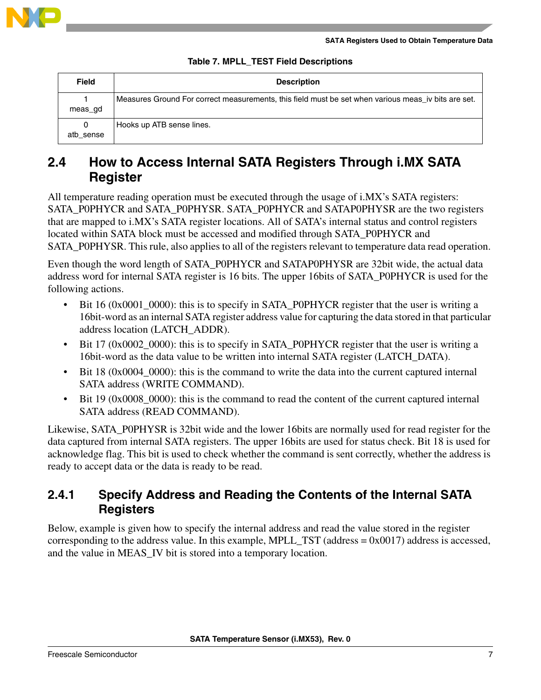

| Table 7. MPLL_TEST Field Descriptions |  |  |
|---------------------------------------|--|--|
|---------------------------------------|--|--|

| <b>Field</b> | <b>Description</b>                                                                                  |
|--------------|-----------------------------------------------------------------------------------------------------|
| meas gd      | Measures Ground For correct measurements, this field must be set when various meas_iv bits are set. |
| atb sense    | Hooks up ATB sense lines.                                                                           |

### **2.4 How to Access Internal SATA Registers Through i.MX SATA Register**

All temperature reading operation must be executed through the usage of i.MX's SATA registers: SATA\_P0PHYCR and SATA\_P0PHYSR. SATA\_P0PHYCR and SATAP0PHYSR are the two registers that are mapped to i.MX's SATA register locations. All of SATA's internal status and control registers located within SATA block must be accessed and modified through SATA\_P0PHYCR and SATA POPHYSR. This rule, also applies to all of the registers relevant to temperature data read operation.

Even though the word length of SATA\_P0PHYCR and SATAP0PHYSR are 32bit wide, the actual data address word for internal SATA register is 16 bits. The upper 16bits of SATA\_P0PHYCR is used for the following actions.

- Bit 16 (0x0001\_0000): this is to specify in SATA\_P0PHYCR register that the user is writing a 16bit-word as an internal SATA register address value for capturing the data stored in that particular address location (LATCH\_ADDR).
- Bit 17 (0x0002\_0000): this is to specify in SATA\_P0PHYCR register that the user is writing a 16bit-word as the data value to be written into internal SATA register (LATCH\_DATA).
- Bit 18 (0x0004\_0000): this is the command to write the data into the current captured internal SATA address (WRITE COMMAND).
- Bit 19 (0x0008 0000): this is the command to read the content of the current captured internal SATA address (READ COMMAND).

Likewise, SATA\_P0PHYSR is 32bit wide and the lower 16bits are normally used for read register for the data captured from internal SATA registers. The upper 16bits are used for status check. Bit 18 is used for acknowledge flag. This bit is used to check whether the command is sent correctly, whether the address is ready to accept data or the data is ready to be read.

### **2.4.1 Specify Address and Reading the Contents of the Internal SATA Registers**

Below, example is given how to specify the internal address and read the value stored in the register corresponding to the address value. In this example, MPLL  $TST$  (address = 0x0017) address is accessed, and the value in MEAS\_IV bit is stored into a temporary location.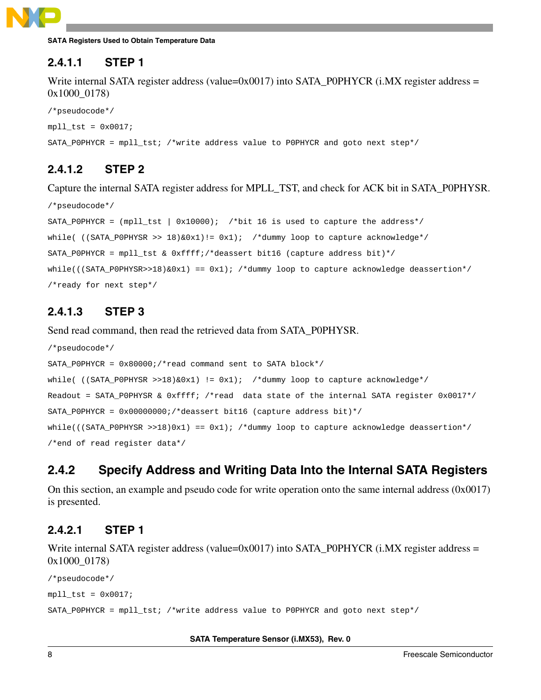

#### **2.4.1.1 STEP 1**

Write internal SATA register address (value=0x0017) into SATA\_P0PHYCR (i.MX register address = 0x1000\_0178)

```
/*pseudocode*/
mpll_tst = 0x0017;SATA POPHYCR = mpll tst; /*write address value to POPHYCR and goto next step*/
```
### **2.4.1.2 STEP 2**

Capture the internal SATA register address for MPLL\_TST, and check for ACK bit in SATA\_P0PHYSR.

```
/*pseudocode*/
SATA_POPHYCR = (mpl \text{1st} \mid 0x10000); /*bit 16 is used to capture the address*/
while( ((SATA_P0PHYSR >> 18) & 0x1): = 0x1; /*dummy loop to capture acknowledge*/
SATA_P0PHYCR = mpll_tst & 0xffff;/*deassert bit16 (capture address bit)*/
while(((SATA_P0PHYSR>>18)\&0x1) == 0x1); /*dummy loop to capture acknowledge deassertion*/
/*ready for next step*/
```
### **2.4.1.3 STEP 3**

Send read command, then read the retrieved data from SATA\_P0PHYSR.

```
/*pseudocode*/
SATA_P0PHYCR = 0x80000;/*read command sent to SATA block*/
while( ((SATA_P0PHYSR >>18) &0x1) != 0x1); /*dummy loop to capture acknowledge*/
Readout = SATA_P0PHYSR & 0xffff; /*read data state of the internal SATA register 0x0017*/
SATA_P0PHYCR = 0x00000000;/*deassert bit16 (capture address bit)*/
while(((SATA_P0PHYSR >>18)0x1) == 0x1); /*dummy loop to capture acknowledge deassertion*/
/*end of read register data*/
```
### **2.4.2 Specify Address and Writing Data Into the Internal SATA Registers**

On this section, an example and pseudo code for write operation onto the same internal address (0x0017) is presented.

#### **2.4.2.1 STEP 1**

Write internal SATA register address (value=0x0017) into SATA\_P0PHYCR (i.MX register address = 0x1000\_0178)

```
/*pseudocode*/
mpll_tst = 0x0017;SATA_P0PHYCR = mpll_tst; /*write address value to P0PHYCR and goto next step*/
```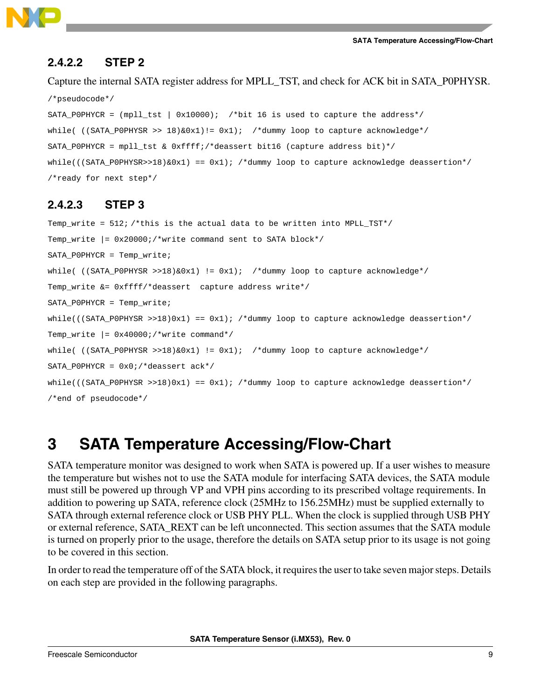

#### **2.4.2.2 STEP 2**

Capture the internal SATA register address for MPLL\_TST, and check for ACK bit in SATA\_P0PHYSR. /\*pseudocode\*/

SATA\_P0PHYCR = (mpll\_tst | 0x10000); /\*bit 16 is used to capture the address\*/ while(  $((SATA_P0PHYSR >> 18) & (2x1) != 0x1);$  /\*dummy loop to capture acknowledge\*/ SATA\_P0PHYCR = mpll\_tst & 0xffff;/\*deassert bit16 (capture address bit)\*/  $while(((SATA_P0PHYSR>>18)\&0x1) == 0x1);$  /\*dummy loop to capture acknowledge deassertion\*/ /\*ready for next step\*/

#### **2.4.2.3 STEP 3**

Temp\_write = 512; /\*this is the actual data to be written into MPLL\_TST\*/ Temp\_write  $| = 0x20000i$ /\*write command sent to SATA block\*/ SATA\_P0PHYCR = Temp\_write; while(  $((SATA_P0PHYSR >>18) &0x1)$  != 0x1); /\*dummy loop to capture acknowledge\*/ Temp\_write &= 0xffff/\*deassert capture address write\*/ SATA\_P0PHYCR = Temp\_write;  $while((SATA_P0PHYSR >> 18)0x1) == 0x1);$  /\*dummy loop to capture acknowledge deassertion\*/ Temp\_write |= 0x40000;/\*write command\*/ while(  $((SATA_P0PHYSR >> 18) &0x1)$  != 0x1); /\*dummy loop to capture acknowledge\*/ SATA P0PHYCR =  $0x0i$ /\*deassert ack\*/  $while((SATA_P0PHYSR >> 18)0x1) == 0x1);$  /\*dummy loop to capture acknowledge deassertion\*/ /\*end of pseudocode\*/

### <span id="page-8-0"></span>**3 SATA Temperature Accessing/Flow-Chart**

SATA temperature monitor was designed to work when SATA is powered up. If a user wishes to measure the temperature but wishes not to use the SATA module for interfacing SATA devices, the SATA module must still be powered up through VP and VPH pins according to its prescribed voltage requirements. In addition to powering up SATA, reference clock (25MHz to 156.25MHz) must be supplied externally to SATA through external reference clock or USB PHY PLL. When the clock is supplied through USB PHY or external reference, SATA\_REXT can be left unconnected. This section assumes that the SATA module is turned on properly prior to the usage, therefore the details on SATA setup prior to its usage is not going to be covered in this section.

In order to read the temperature off of the SATA block, it requires the user to take seven major steps. Details on each step are provided in the following paragraphs.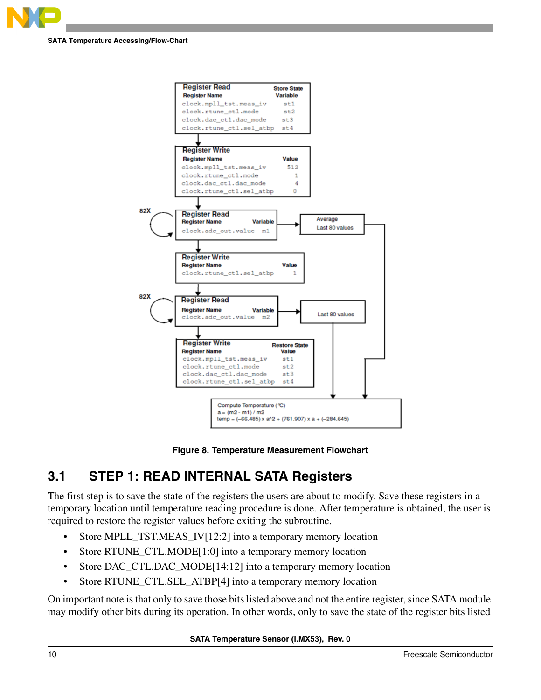



**Figure 8. Temperature Measurement Flowchart**

### **3.1 STEP 1: READ INTERNAL SATA Registers**

The first step is to save the state of the registers the users are about to modify. Save these registers in a temporary location until temperature reading procedure is done. After temperature is obtained, the user is required to restore the register values before exiting the subroutine.

- Store MPLL\_TST.MEAS\_IV[12:2] into a temporary memory location
- Store RTUNE\_CTL.MODE[1:0] into a temporary memory location
- Store DAC\_CTL.DAC\_MODE[14:12] into a temporary memory location
- Store RTUNE\_CTL.SEL\_ATBP[4] into a temporary memory location

On important note is that only to save those bits listed above and not the entire register, since SATA module may modify other bits during its operation. In other words, only to save the state of the register bits listed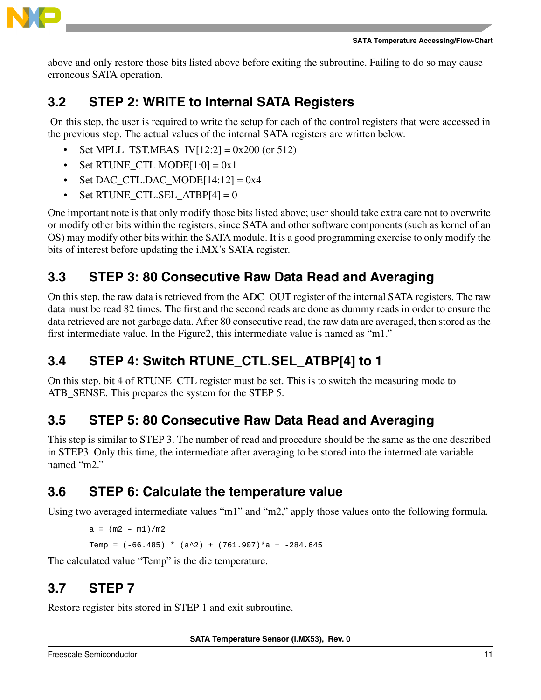

above and only restore those bits listed above before exiting the subroutine. Failing to do so may cause erroneous SATA operation.

### **3.2 STEP 2: WRITE to Internal SATA Registers**

 On this step, the user is required to write the setup for each of the control registers that were accessed in the previous step. The actual values of the internal SATA registers are written below.

- Set MPLL\_TST.MEAS\_IV $[12:2] = 0x200$  (or 512)
- Set RTUNE\_CTL.MODE $[1:0] = 0x1$
- Set DAC\_CTL.DAC\_MODE $[14:12] = 0x4$
- Set RTUNE CTL.SEL ATBP $[4] = 0$

One important note is that only modify those bits listed above; user should take extra care not to overwrite or modify other bits within the registers, since SATA and other software components (such as kernel of an OS) may modify other bits within the SATA module. It is a good programming exercise to only modify the bits of interest before updating the i.MX's SATA register.

### **3.3 STEP 3: 80 Consecutive Raw Data Read and Averaging**

On this step, the raw data is retrieved from the ADC\_OUT register of the internal SATA registers. The raw data must be read 82 times. The first and the second reads are done as dummy reads in order to ensure the data retrieved are not garbage data. After 80 consecutive read, the raw data are averaged, then stored as the first intermediate value. In the Figure2, this intermediate value is named as "m1."

### **3.4 STEP 4: Switch RTUNE\_CTL.SEL\_ATBP[4] to 1**

On this step, bit 4 of RTUNE\_CTL register must be set. This is to switch the measuring mode to ATB\_SENSE. This prepares the system for the STEP 5.

### **3.5 STEP 5: 80 Consecutive Raw Data Read and Averaging**

This step is similar to STEP 3. The number of read and procedure should be the same as the one described in STEP3. Only this time, the intermediate after averaging to be stored into the intermediate variable named "m2."

### **3.6 STEP 6: Calculate the temperature value**

Using two averaged intermediate values "m1" and "m2," apply those values onto the following formula.

```
a = (m2 - m1)/m2Temp = (-66.485) * (a^2) + (761.907) *a + -284.645
```
The calculated value "Temp" is the die temperature.

### **3.7 STEP 7**

Restore register bits stored in STEP 1 and exit subroutine.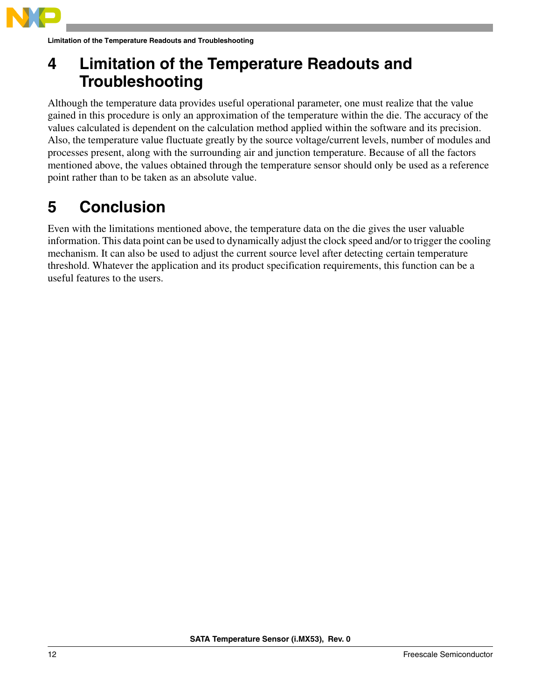

**Limitation of the Temperature Readouts and Troubleshooting**

## <span id="page-11-0"></span>**4 Limitation of the Temperature Readouts and Troubleshooting**

Although the temperature data provides useful operational parameter, one must realize that the value gained in this procedure is only an approximation of the temperature within the die. The accuracy of the values calculated is dependent on the calculation method applied within the software and its precision. Also, the temperature value fluctuate greatly by the source voltage/current levels, number of modules and processes present, along with the surrounding air and junction temperature. Because of all the factors mentioned above, the values obtained through the temperature sensor should only be used as a reference point rather than to be taken as an absolute value.

## <span id="page-11-1"></span>**5 Conclusion**

Even with the limitations mentioned above, the temperature data on the die gives the user valuable information. This data point can be used to dynamically adjust the clock speed and/or to trigger the cooling mechanism. It can also be used to adjust the current source level after detecting certain temperature threshold. Whatever the application and its product specification requirements, this function can be a useful features to the users.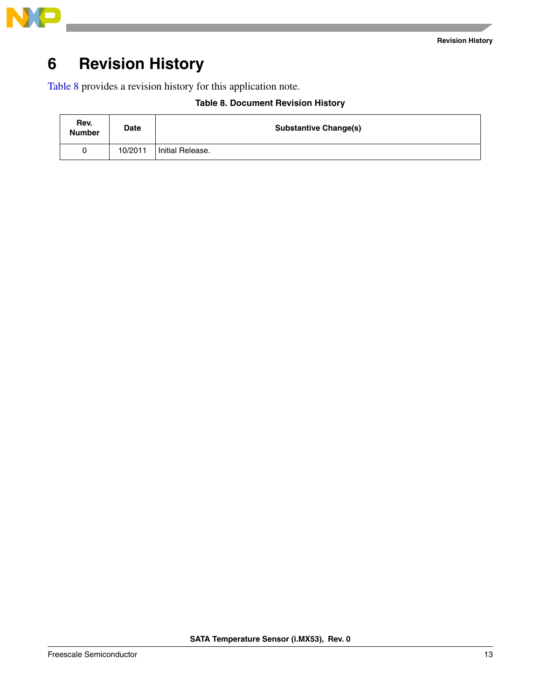



## <span id="page-12-0"></span>**6 Revision History**

<span id="page-12-1"></span>[Table 8](#page-12-1) provides a revision history for this application note.

| <b>Table 8. Document Revision History</b> |
|-------------------------------------------|
|                                           |

| Rev.<br><b>Number</b> | <b>Date</b> | <b>Substantive Change(s)</b> |
|-----------------------|-------------|------------------------------|
| 0                     | 10/2011     | Initial Release.             |